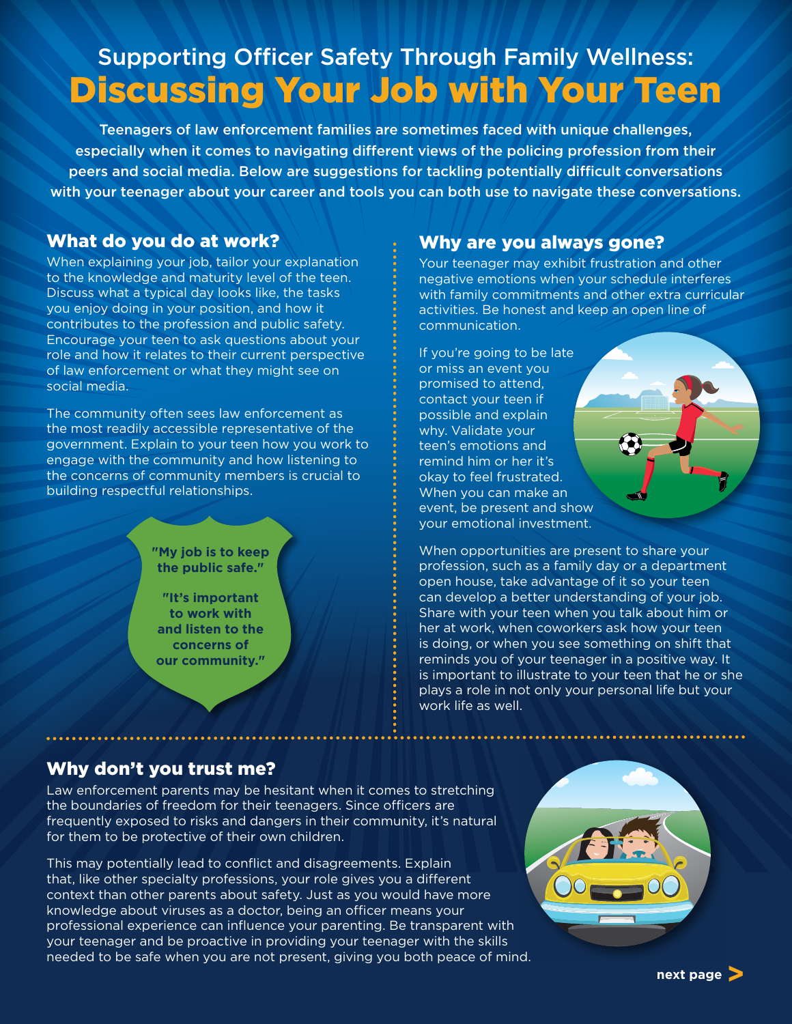# Supporting Officer Safety Through Family Wellness: Discussing Your Job with Your Teen

Teenagers of law enforcement families are sometimes faced with unique challenges, especially when it comes to navigating different views of the policing profession from their peers and social media. Below are suggestions for tackling potentially difficult conversations with your teenager about your career and tools you can both use to navigate these conversations.

### What do you do at work?

When explaining your job, tailor your explanation to the knowledge and maturity level of the teen. Discuss what a typical day looks like, the tasks you enjoy doing in your position, and how it contributes to the profession and public safety. Encourage your teen to ask questions about your role and how it relates to their current perspective of law enforcement or what they might see on social media.

The community often sees law enforcement as the most readily accessible representative of the government. Explain to your teen how you work to engage with the community and how listening to the concerns of community members is crucial to building respectful relationships.

> **"My job is to keep the public safe."**

**"It's important to work with and listen to the concerns of our community."**

#### Why are you always gone?

Your teenager may exhibit frustration and other negative emotions when your schedule interferes with family commitments and other extra curricular activities. Be honest and keep an open line of communication.

If you're going to be late or miss an event you promised to attend, contact your teen if possible and explain why. Validate your teen's emotions and remind him or her it's okay to feel frustrated. When you can make an event, be present and show your emotional investment.

When opportunities are present to share your profession, such as a family day or a department open house, take advantage of it so your teen can develop a better understanding of your job. Share with your teen when you talk about him or her at work, when coworkers ask how your teen is doing, or when you see something on shift that reminds you of your teenager in a positive way. It is important to illustrate to your teen that he or she plays a role in not only your personal life but your work life as well.

# Why don't you trust me?

Law enforcement parents may be hesitant when it comes to stretching the boundaries of freedom for their teenagers. Since officers are frequently exposed to risks and dangers in their community, it's natural for them to be protective of their own children.

This may potentially lead to conflict and disagreements. Explain that, like other specialty professions, your role gives you a different context than other parents about safety. Just as you would have more knowledge about viruses as a doctor, being an officer means your professional experience can influence your parenting. Be transparent with your teenager and be proactive in providing your teenager with the skills needed to be safe when you are not present, giving you both peace of mind.



**next page>**